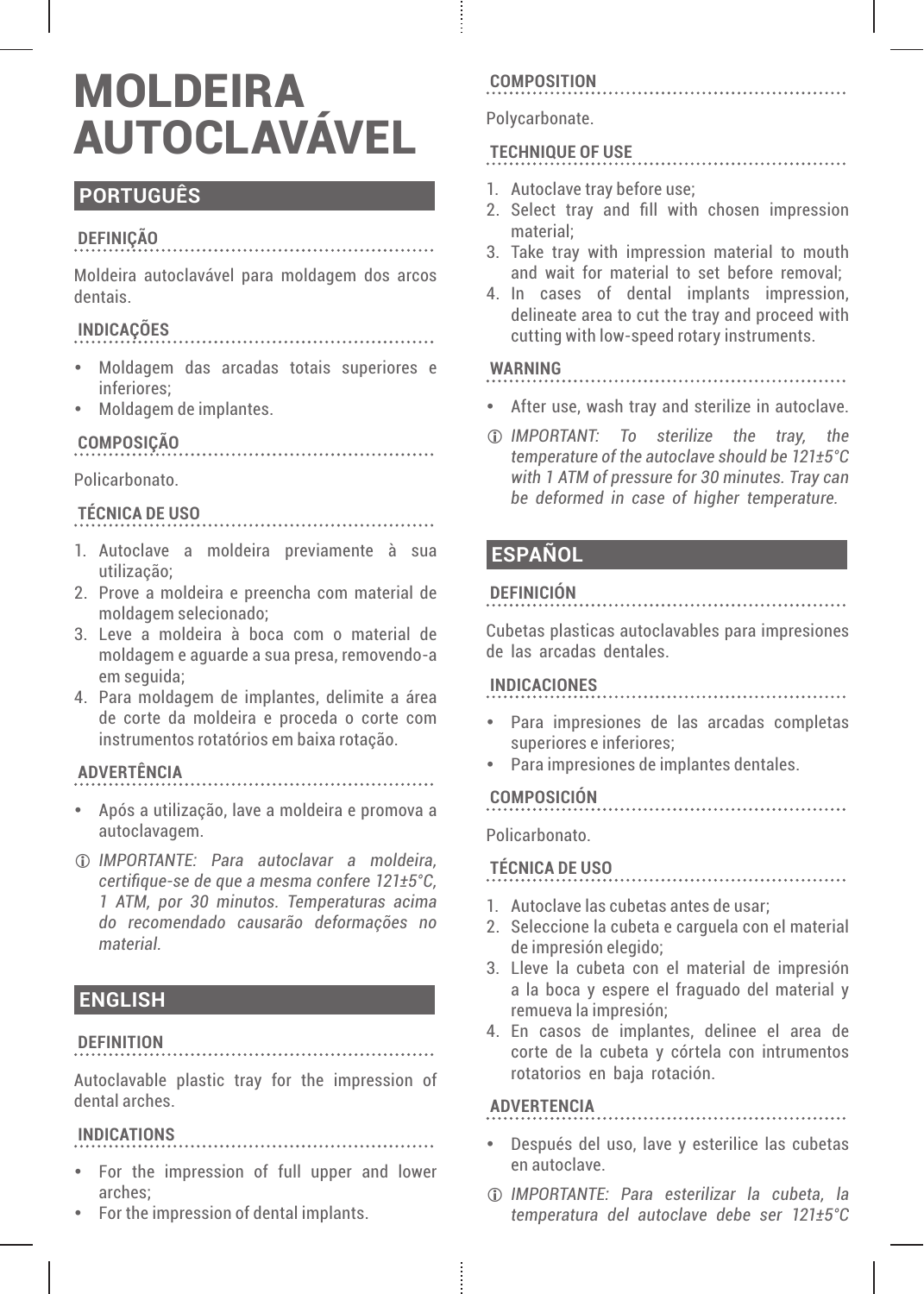# MOLDEIRA **AUTOCLAVÁVEL**

# **PORTUGUÊS**

## **DEFINIÇÃO**

Moldeira autoclavável para moldagem dos arcos dentais.

# **INDICAÇÕES**

- y Moldagem das arcadas totais superiores e inferiores;
- Moldagem de implantes.

# **COMPOSIÇÃO**

#### Policarbonato.

# **TÉCNICA DE USO**

- 1. Autoclave a moldeira previamente à sua utilização;
- 2. Prove a moldeira e preencha com material de moldagem selecionado;
- 3. Leve a moldeira à boca com o material de moldagem e aguarde a sua presa, removendo-a em seguida;
- 4. Para moldagem de implantes, delimite a área de corte da moldeira e proceda o corte com instrumentos rotatórios em baixa rotação.

# **ADVERTÊNCIA**

y Após a utilização, lave a moldeira e promova a autoclavagem.

L *IMPORTANTE: Para autoclavar a moldeira, certifique-se de que a mesma confere 121±5°C, 1 ATM, por 30 minutos. Temperaturas acima do recomendado causarão deformações no material.*

# **ENGLISH**

## **DEFINITION**

Autoclavable plastic tray for the impression of dental arches.

# **INDICATIONS**

• For the impression of full upper and lower arches;

. . . . . . . . . . . . . .

• For the impression of dental implants.

## **COMPOSITION**

#### Polycarbonate.

## **TECHNIQUE OF USE**

- 1. Autoclave tray before use;
- 2. Select tray and fill with chosen impression material;

. . . . . . . . . . . . . . . . .

- 3. Take tray with impression material to mouth and wait for material to set before removal;
- 4. In cases of dental implants impression, delineate area to cut the tray and proceed with cutting with low-speed rotary instruments.

#### **WARNING**

- After use, wash tray and sterilize in autoclave
- L *IMPORTANT: To sterilize the tray, the temperature of the autoclave should be 121±5°C with 1 ATM of pressure for 30 minutes. Tray can be deformed in case of higher temperature.*

# **ESPAÑOL**

#### **DEFINICIÓN**

Cubetas plasticas autoclavables para impresiones de las arcadas dentales.

#### **INDICACIONES**

- y Para impresiones de las arcadas completas superiores e inferiores;
- y Para impresiones de implantes dentales.

## **COMPOSICIÓN**

Policarbonato.

# **TÉCNICA DE USO**

- 1. Autoclave las cubetas antes de usar;
- 2. Seleccione la cubeta e carguela con el material de impresión elegido;

- 3. Lleve la cubeta con el material de impresión a la boca y espere el fraguado del material y remueva la impresión;
- 4. En casos de implantes, delinee el area de corte de la cubeta y córtela con intrumentos rotatorios en baja rotación.

# **ADVERTENCIA**

- y Después del uso, lave y esterilice las cubetas en autoclave.
- L *IMPORTANTE: Para esterilizar la cubeta, la temperatura del autoclave debe ser 121±5°C*